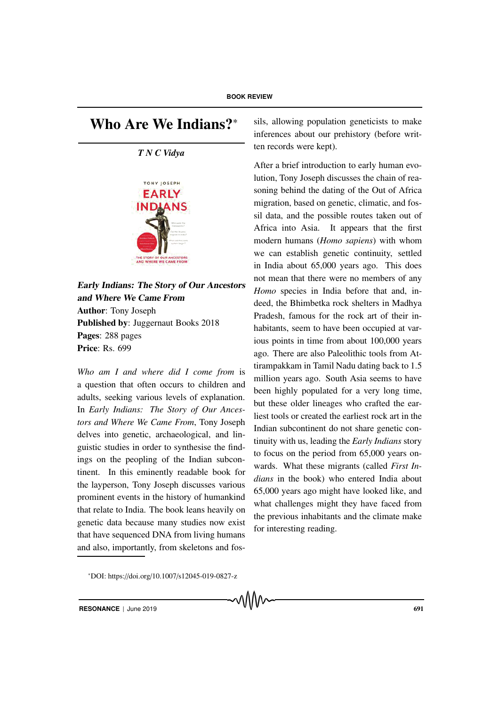## Who Are We Indians?<sup>\*</sup>

## *T N C Vidya*



Early Indians: The Story of Our Ancestors and Where We Came From Author: Tony Joseph Published by: Juggernaut Books 2018 Pages: 288 pages Price: Rs. 699

*Who am I and where did I come from* is a question that often occurs to children and adults, seeking various levels of explanation. In *Early Indians: The Story of Our Ancestors and Where We Came From*, Tony Joseph delves into genetic, archaeological, and linguistic studies in order to synthesise the findings on the peopling of the Indian subcontinent. In this eminently readable book for the layperson, Tony Joseph discusses various prominent events in the history of humankind that relate to India. The book leans heavily on genetic data because many studies now exist that have sequenced DNA from living humans and also, importantly, from skeletons and fossils, allowing population geneticists to make inferences about our prehistory (before written records were kept).

After a brief introduction to early human evolution, Tony Joseph discusses the chain of reasoning behind the dating of the Out of Africa migration, based on genetic, climatic, and fossil data, and the possible routes taken out of Africa into Asia. It appears that the first modern humans (*Homo sapiens*) with whom we can establish genetic continuity, settled in India about 65,000 years ago. This does not mean that there were no members of any *Homo* species in India before that and, indeed, the Bhimbetka rock shelters in Madhya Pradesh, famous for the rock art of their inhabitants, seem to have been occupied at various points in time from about 100,000 years ago. There are also Paleolithic tools from Attirampakkam in Tamil Nadu dating back to 1.5 million years ago. South Asia seems to have been highly populated for a very long time, but these older lineages who crafted the earliest tools or created the earliest rock art in the Indian subcontinent do not share genetic continuity with us, leading the *Early Indians* story to focus on the period from 65,000 years onwards. What these migrants (called *First Indians* in the book) who entered India about 65,000 years ago might have looked like, and what challenges might they have faced from the previous inhabitants and the climate make for interesting reading.

<sup>∗</sup>DOI: https://doi.org/10.1007/s12045-019-0827-z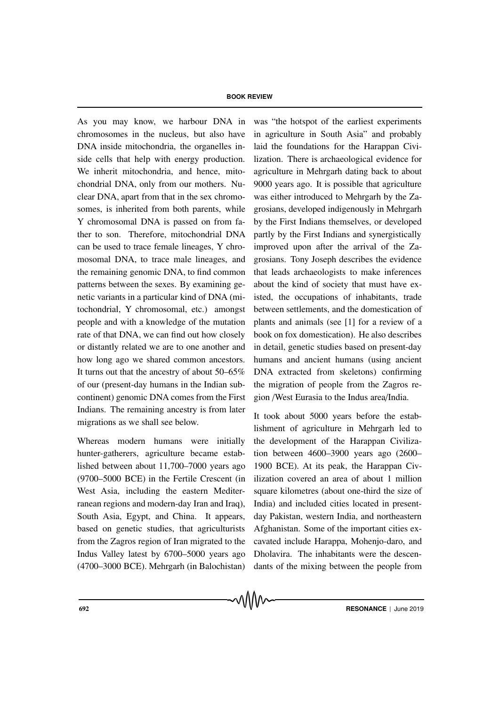As you may know, we harbour DNA in chromosomes in the nucleus, but also have DNA inside mitochondria, the organelles inside cells that help with energy production. We inherit mitochondria, and hence, mitochondrial DNA, only from our mothers. Nuclear DNA, apart from that in the sex chromosomes, is inherited from both parents, while Y chromosomal DNA is passed on from father to son. Therefore, mitochondrial DNA can be used to trace female lineages, Y chromosomal DNA, to trace male lineages, and the remaining genomic DNA, to find common patterns between the sexes. By examining genetic variants in a particular kind of DNA (mitochondrial, Y chromosomal, etc.) amongst people and with a knowledge of the mutation rate of that DNA, we can find out how closely or distantly related we are to one another and how long ago we shared common ancestors. It turns out that the ancestry of about 50–65% of our (present-day humans in the Indian subcontinent) genomic DNA comes from the First Indians. The remaining ancestry is from later migrations as we shall see below.

Whereas modern humans were initially hunter-gatherers, agriculture became established between about 11,700–7000 years ago (9700–5000 BCE) in the Fertile Crescent (in West Asia, including the eastern Mediterranean regions and modern-day Iran and Iraq), South Asia, Egypt, and China. It appears, based on genetic studies, that agriculturists from the Zagros region of Iran migrated to the Indus Valley latest by 6700–5000 years ago (4700–3000 BCE). Mehrgarh (in Balochistan) was "the hotspot of the earliest experiments in agriculture in South Asia" and probably laid the foundations for the Harappan Civilization. There is archaeological evidence for agriculture in Mehrgarh dating back to about 9000 years ago. It is possible that agriculture was either introduced to Mehrgarh by the Zagrosians, developed indigenously in Mehrgarh by the First Indians themselves, or developed partly by the First Indians and synergistically improved upon after the arrival of the Zagrosians. Tony Joseph describes the evidence that leads archaeologists to make inferences about the kind of society that must have existed, the occupations of inhabitants, trade between settlements, and the domestication of plants and animals (see [1] for a review of a book on fox domestication). He also describes in detail, genetic studies based on present-day humans and ancient humans (using ancient DNA extracted from skeletons) confirming the migration of people from the Zagros region /West Eurasia to the Indus area/India.

It took about 5000 years before the establishment of agriculture in Mehrgarh led to the development of the Harappan Civilization between 4600–3900 years ago (2600– 1900 BCE). At its peak, the Harappan Civilization covered an area of about 1 million square kilometres (about one-third the size of India) and included cities located in presentday Pakistan, western India, and northeastern Afghanistan. Some of the important cities excavated include Harappa, Mohenjo-daro, and Dholavira. The inhabitants were the descendants of the mixing between the people from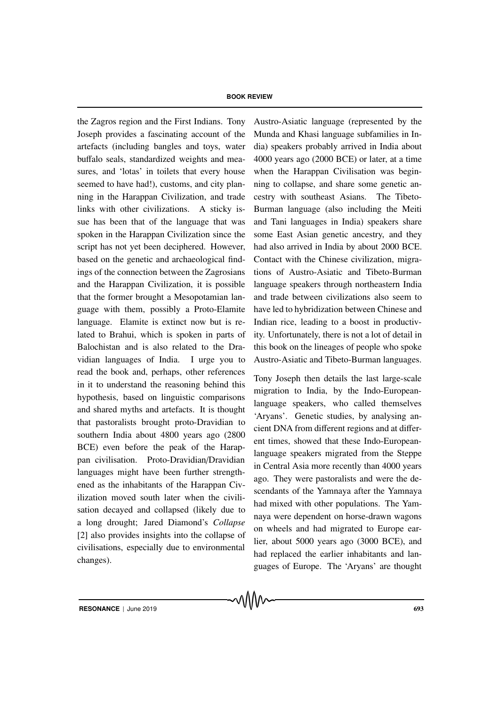the Zagros region and the First Indians. Tony Joseph provides a fascinating account of the artefacts (including bangles and toys, water buffalo seals, standardized weights and measures, and 'lotas' in toilets that every house seemed to have had!), customs, and city planning in the Harappan Civilization, and trade links with other civilizations. A sticky issue has been that of the language that was spoken in the Harappan Civilization since the script has not yet been deciphered. However, based on the genetic and archaeological findings of the connection between the Zagrosians and the Harappan Civilization, it is possible that the former brought a Mesopotamian language with them, possibly a Proto-Elamite language. Elamite is extinct now but is related to Brahui, which is spoken in parts of Balochistan and is also related to the Dravidian languages of India. I urge you to read the book and, perhaps, other references in it to understand the reasoning behind this hypothesis, based on linguistic comparisons and shared myths and artefacts. It is thought that pastoralists brought proto-Dravidian to southern India about 4800 years ago (2800 BCE) even before the peak of the Harappan civilisation. Proto-Dravidian/Dravidian languages might have been further strengthened as the inhabitants of the Harappan Civilization moved south later when the civilisation decayed and collapsed (likely due to a long drought; Jared Diamond's *Collapse* [2] also provides insights into the collapse of civilisations, especially due to environmental changes).

Austro-Asiatic language (represented by the Munda and Khasi language subfamilies in India) speakers probably arrived in India about 4000 years ago (2000 BCE) or later, at a time when the Harappan Civilisation was beginning to collapse, and share some genetic ancestry with southeast Asians. The Tibeto-Burman language (also including the Meiti and Tani languages in India) speakers share some East Asian genetic ancestry, and they had also arrived in India by about 2000 BCE. Contact with the Chinese civilization, migrations of Austro-Asiatic and Tibeto-Burman language speakers through northeastern India and trade between civilizations also seem to have led to hybridization between Chinese and Indian rice, leading to a boost in productivity. Unfortunately, there is not a lot of detail in this book on the lineages of people who spoke Austro-Asiatic and Tibeto-Burman languages.

Tony Joseph then details the last large-scale migration to India, by the Indo-Europeanlanguage speakers, who called themselves 'Aryans'. Genetic studies, by analysing ancient DNA from different regions and at different times, showed that these Indo-Europeanlanguage speakers migrated from the Steppe in Central Asia more recently than 4000 years ago. They were pastoralists and were the descendants of the Yamnaya after the Yamnaya had mixed with other populations. The Yamnaya were dependent on horse-drawn wagons on wheels and had migrated to Europe earlier, about 5000 years ago (3000 BCE), and had replaced the earlier inhabitants and languages of Europe. The 'Aryans' are thought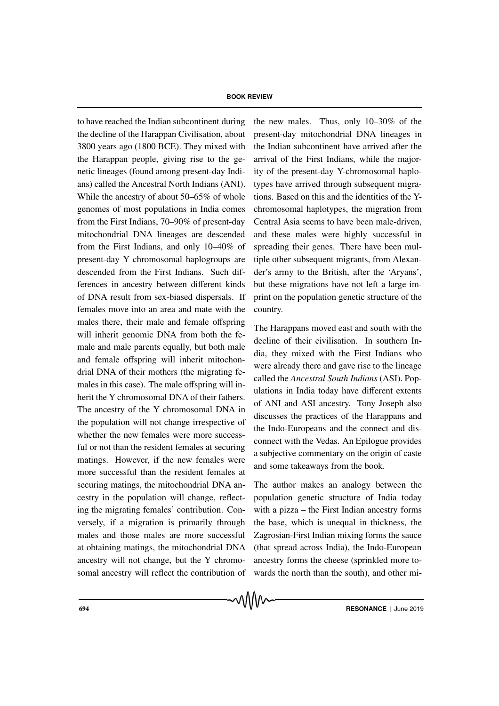to have reached the Indian subcontinent during the decline of the Harappan Civilisation, about 3800 years ago (1800 BCE). They mixed with the Harappan people, giving rise to the genetic lineages (found among present-day Indians) called the Ancestral North Indians (ANI). While the ancestry of about 50–65% of whole genomes of most populations in India comes from the First Indians, 70–90% of present-day mitochondrial DNA lineages are descended from the First Indians, and only 10–40% of present-day Y chromosomal haplogroups are descended from the First Indians. Such differences in ancestry between different kinds of DNA result from sex-biased dispersals. If females move into an area and mate with the males there, their male and female offspring will inherit genomic DNA from both the female and male parents equally, but both male and female offspring will inherit mitochondrial DNA of their mothers (the migrating females in this case). The male offspring will inherit the Y chromosomal DNA of their fathers. The ancestry of the Y chromosomal DNA in the population will not change irrespective of whether the new females were more successful or not than the resident females at securing matings. However, if the new females were more successful than the resident females at securing matings, the mitochondrial DNA ancestry in the population will change, reflecting the migrating females' contribution. Conversely, if a migration is primarily through males and those males are more successful at obtaining matings, the mitochondrial DNA ancestry will not change, but the Y chromosomal ancestry will reflect the contribution of the new males. Thus, only 10–30% of the present-day mitochondrial DNA lineages in the Indian subcontinent have arrived after the arrival of the First Indians, while the majority of the present-day Y-chromosomal haplotypes have arrived through subsequent migrations. Based on this and the identities of the Ychromosomal haplotypes, the migration from Central Asia seems to have been male-driven, and these males were highly successful in spreading their genes. There have been multiple other subsequent migrants, from Alexander's army to the British, after the 'Aryans', but these migrations have not left a large imprint on the population genetic structure of the country.

The Harappans moved east and south with the decline of their civilisation. In southern India, they mixed with the First Indians who were already there and gave rise to the lineage called the *Ancestral South Indians* (ASI). Populations in India today have different extents of ANI and ASI ancestry. Tony Joseph also discusses the practices of the Harappans and the Indo-Europeans and the connect and disconnect with the Vedas. An Epilogue provides a subjective commentary on the origin of caste and some takeaways from the book.

The author makes an analogy between the population genetic structure of India today with a pizza – the First Indian ancestry forms the base, which is unequal in thickness, the Zagrosian-First Indian mixing forms the sauce (that spread across India), the Indo-European ancestry forms the cheese (sprinkled more towards the north than the south), and other mi